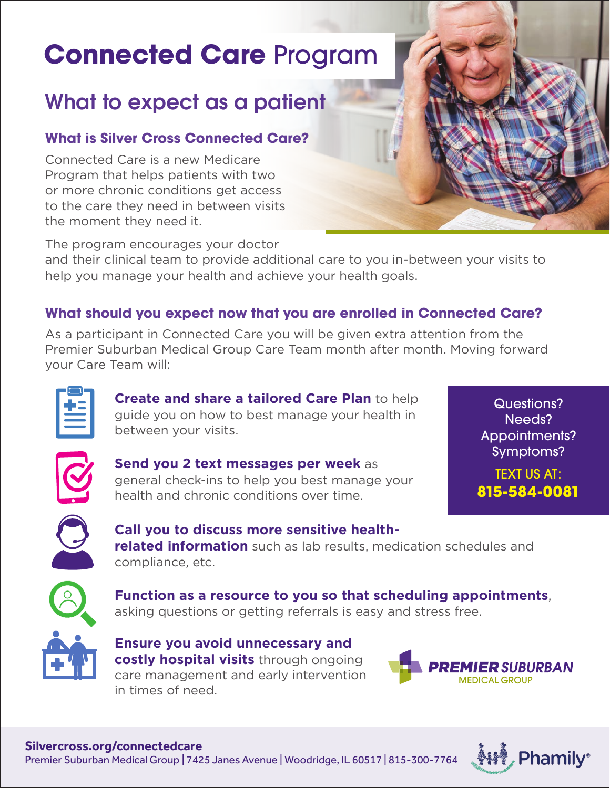# **Connected Care** Program

# What to expect as a patient

### **What is Silver Cross Connected Care?**

Connected Care is a new Medicare Program that helps patients with two or more chronic conditions get access to the care they need in between visits the moment they need it.

The program encourages your doctor

and their clinical team to provide additional care to you in-between your visits to help you manage your health and achieve your health goals.

### **What should you expect now that you are enrolled in Connected Care?**

As a participant in Connected Care you will be given extra attention from the Premier Suburban Medical Group Care Team month after month. Moving forward your Care Team will:

**Create and share a tailored Care Plan** to help guide you on how to best manage your health in between your visits.



**Send you 2 text messages per week** as general check-ins to help you best manage your health and chronic conditions over time.

Questions? Needs? Appointments? Symptoms?

TEXT US AT: **815-584-0081**



**Call you to discuss more sensitive healthrelated information** such as lab results, medication schedules and compliance, etc.



**Function as a resource to you so that scheduling appointments**, asking questions or getting referrals is easy and stress free.

**Ensure you avoid unnecessary and costly hospital visits** through ongoing care management and early intervention in times of need.